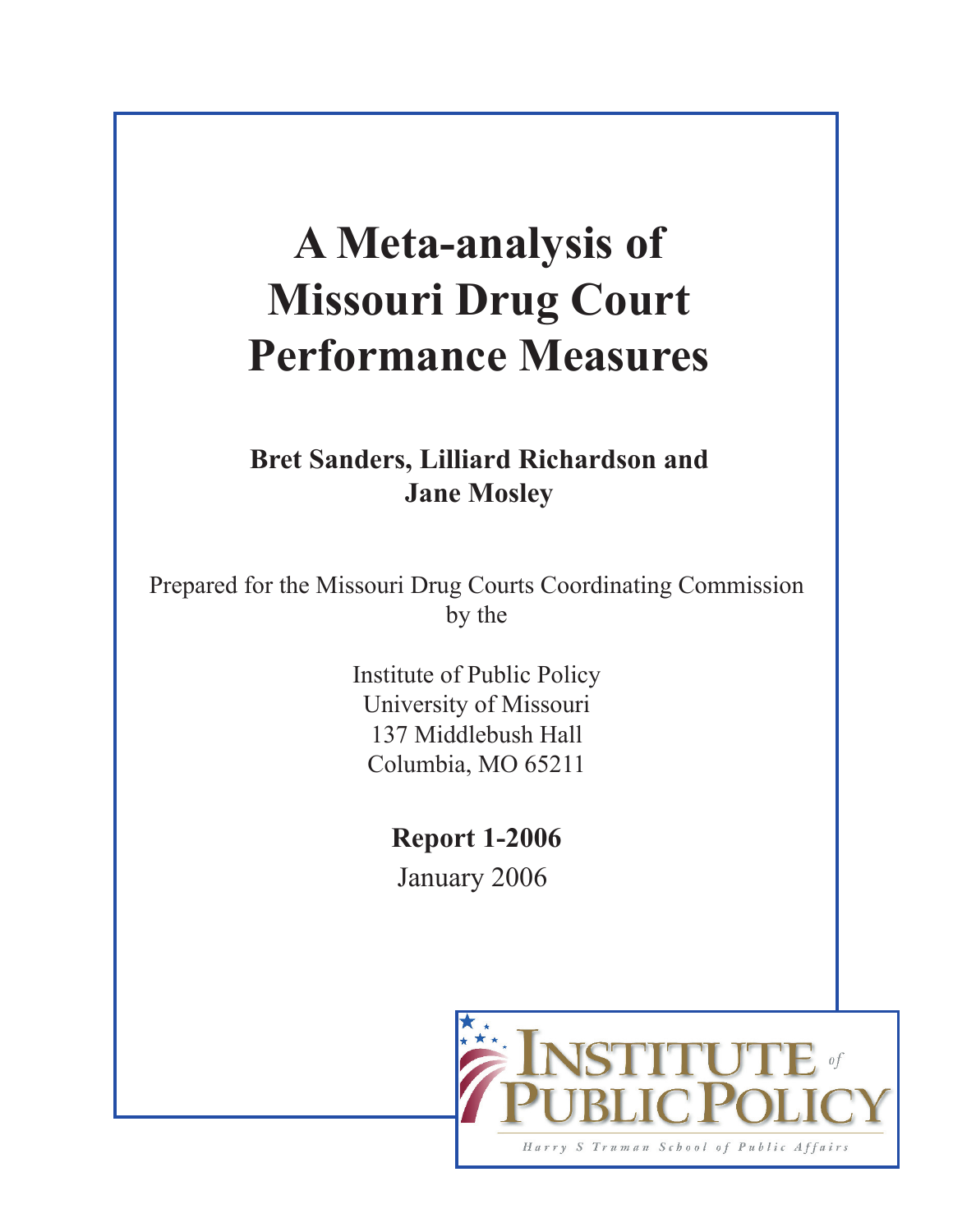# **A Meta-analysis of Missouri Drug Court Performance Measures**

**Bret Sanders, Lilliard Richardson and Jane Mosley**

Prepared for the Missouri Drug Courts Coordinating Commission by the

> Institute of Public Policy University of Missouri 137 Middlebush Hall Columbia, MO 65211

> > **Report 1-2006** January 2006

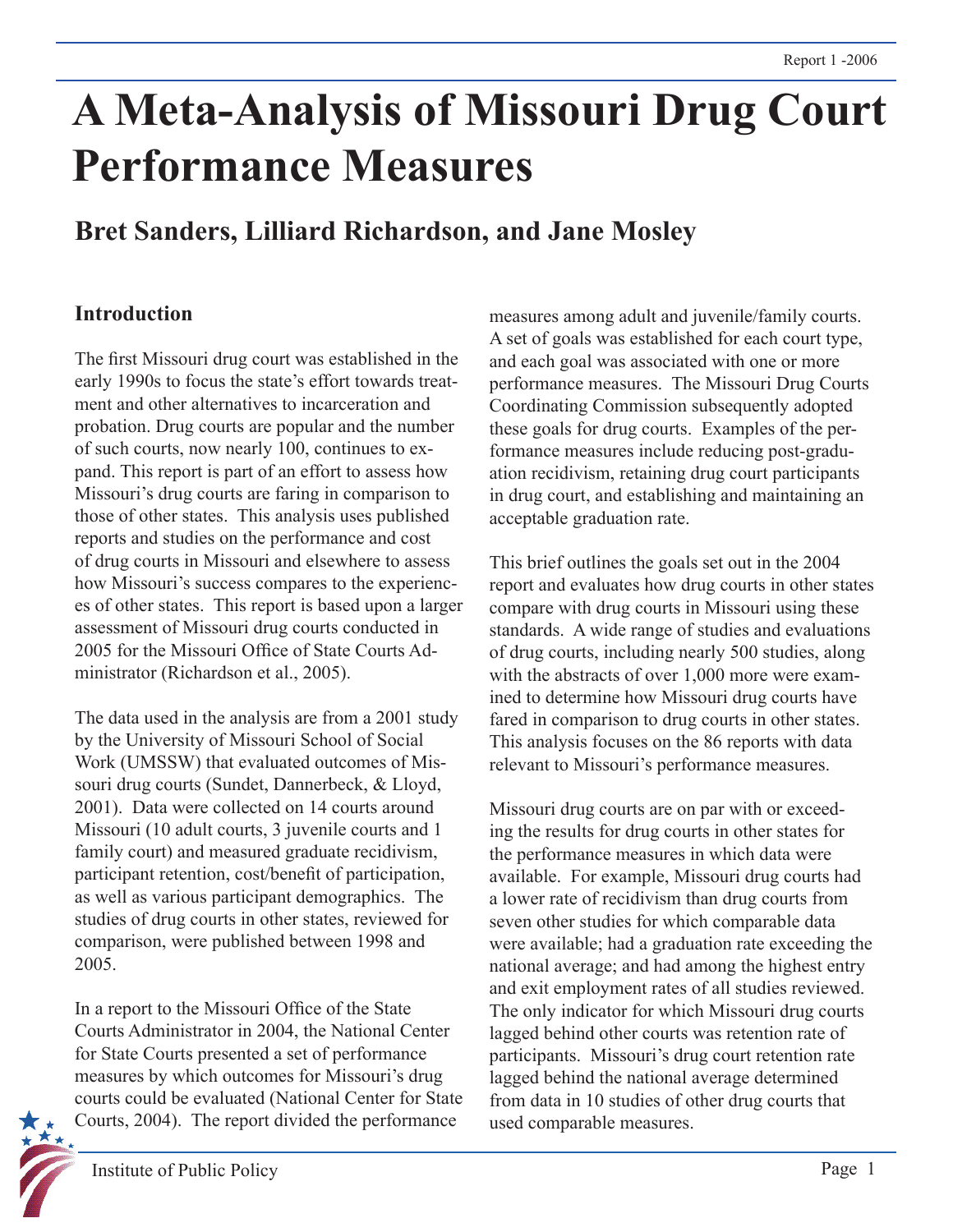# **A Meta-Analysis of Missouri Drug Court Performance Measures**

# **Bret Sanders, Lilliard Richardson, and Jane Mosley**

# **Introduction**

The first Missouri drug court was established in the early 1990s to focus the state's effort towards treatment and other alternatives to incarceration and probation. Drug courts are popular and the number of such courts, now nearly 100, continues to expand. This report is part of an effort to assess how Missouri's drug courts are faring in comparison to those of other states. This analysis uses published reports and studies on the performance and cost of drug courts in Missouri and elsewhere to assess how Missouri's success compares to the experiences of other states. This report is based upon a larger assessment of Missouri drug courts conducted in 2005 for the Missouri Office of State Courts Administrator (Richardson et al., 2005).

The data used in the analysis are from a 2001 study by the University of Missouri School of Social Work (UMSSW) that evaluated outcomes of Missouri drug courts (Sundet, Dannerbeck, & Lloyd, 2001). Data were collected on 14 courts around Missouri (10 adult courts, 3 juvenile courts and 1 family court) and measured graduate recidivism, participant retention, cost/benefit of participation, as well as various participant demographics. The studies of drug courts in other states, reviewed for comparison, were published between 1998 and 2005.

In a report to the Missouri Office of the State Courts Administrator in 2004, the National Center for State Courts presented a set of performance measures by which outcomes for Missouri's drug courts could be evaluated (National Center for State Courts, 2004). The report divided the performance

measures among adult and juvenile/family courts. A set of goals was established for each court type, and each goal was associated with one or more performance measures. The Missouri Drug Courts Coordinating Commission subsequently adopted these goals for drug courts. Examples of the performance measures include reducing post-graduation recidivism, retaining drug court participants in drug court, and establishing and maintaining an acceptable graduation rate.

This brief outlines the goals set out in the 2004 report and evaluates how drug courts in other states compare with drug courts in Missouri using these standards. A wide range of studies and evaluations of drug courts, including nearly 500 studies, along with the abstracts of over 1,000 more were examined to determine how Missouri drug courts have fared in comparison to drug courts in other states. This analysis focuses on the 86 reports with data relevant to Missouri's performance measures.

Missouri drug courts are on par with or exceeding the results for drug courts in other states for the performance measures in which data were available. For example, Missouri drug courts had a lower rate of recidivism than drug courts from seven other studies for which comparable data were available; had a graduation rate exceeding the national average; and had among the highest entry and exit employment rates of all studies reviewed. The only indicator for which Missouri drug courts lagged behind other courts was retention rate of participants. Missouri's drug court retention rate lagged behind the national average determined from data in 10 studies of other drug courts that used comparable measures.

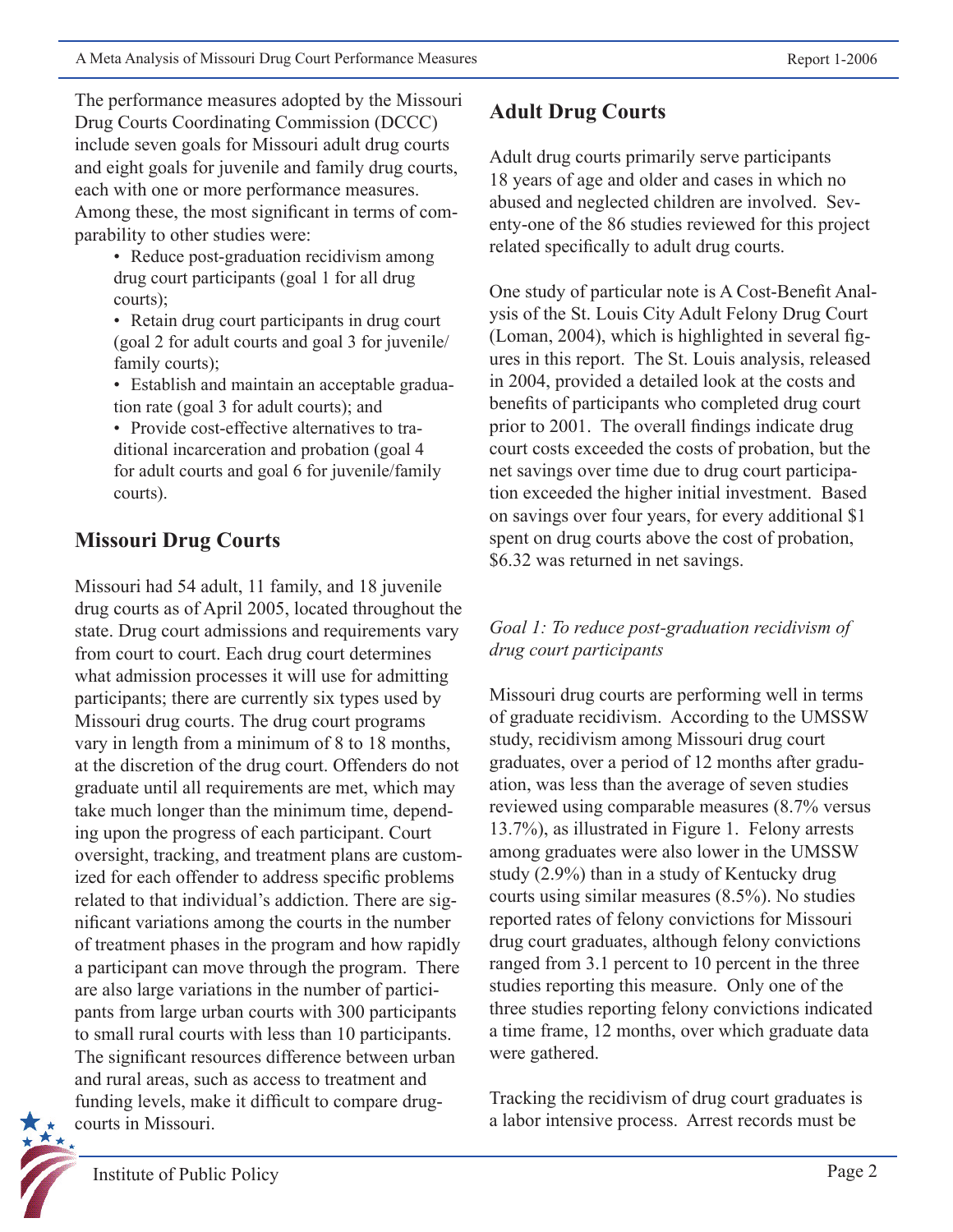The performance measures adopted by the Missouri Drug Courts Coordinating Commission (DCCC) include seven goals for Missouri adult drug courts and eight goals for juvenile and family drug courts, each with one or more performance measures. Among these, the most significant in terms of comparability to other studies were:

- Reduce post-graduation recidivism among drug court participants (goal 1 for all drug courts);
- Retain drug court participants in drug court (goal 2 for adult courts and goal 3 for juvenile/ family courts);
- Establish and maintain an acceptable graduation rate (goal 3 for adult courts); and
- Provide cost-effective alternatives to traditional incarceration and probation (goal 4 for adult courts and goal 6 for juvenile/family courts).

# **Missouri Drug Courts**

Missouri had 54 adult, 11 family, and 18 juvenile drug courts as of April 2005, located throughout the state. Drug court admissions and requirements vary from court to court. Each drug court determines what admission processes it will use for admitting participants; there are currently six types used by Missouri drug courts. The drug court programs vary in length from a minimum of 8 to 18 months, at the discretion of the drug court. Offenders do not graduate until all requirements are met, which may take much longer than the minimum time, depending upon the progress of each participant. Court oversight, tracking, and treatment plans are customized for each offender to address specific problems related to that individual's addiction. There are significant variations among the courts in the number of treatment phases in the program and how rapidly a participant can move through the program. There are also large variations in the number of participants from large urban courts with 300 participants to small rural courts with less than 10 participants. The significant resources difference between urban and rural areas, such as access to treatment and funding levels, make it difficult to compare drugcourts in Missouri.

# **Adult Drug Courts**

Adult drug courts primarily serve participants 18 years of age and older and cases in which no abused and neglected children are involved. Seventy-one of the 86 studies reviewed for this project related specifically to adult drug courts.

One study of particular note is A Cost-Benefit Analysis of the St. Louis City Adult Felony Drug Court (Loman, 2004), which is highlighted in several figures in this report. The St. Louis analysis, released in 2004, provided a detailed look at the costs and benefits of participants who completed drug court prior to 2001. The overall findings indicate drug court costs exceeded the costs of probation, but the net savings over time due to drug court participation exceeded the higher initial investment. Based on savings over four years, for every additional \$1 spent on drug courts above the cost of probation, \$6.32 was returned in net savings.

## *Goal 1: To reduce post-graduation recidivism of drug court participants*

Missouri drug courts are performing well in terms of graduate recidivism. According to the UMSSW study, recidivism among Missouri drug court graduates, over a period of 12 months after graduation, was less than the average of seven studies reviewed using comparable measures (8.7% versus 13.7%), as illustrated in Figure 1. Felony arrests among graduates were also lower in the UMSSW study (2.9%) than in a study of Kentucky drug courts using similar measures (8.5%). No studies reported rates of felony convictions for Missouri drug court graduates, although felony convictions ranged from 3.1 percent to 10 percent in the three studies reporting this measure. Only one of the three studies reporting felony convictions indicated a time frame, 12 months, over which graduate data were gathered.

Tracking the recidivism of drug court graduates is a labor intensive process. Arrest records must be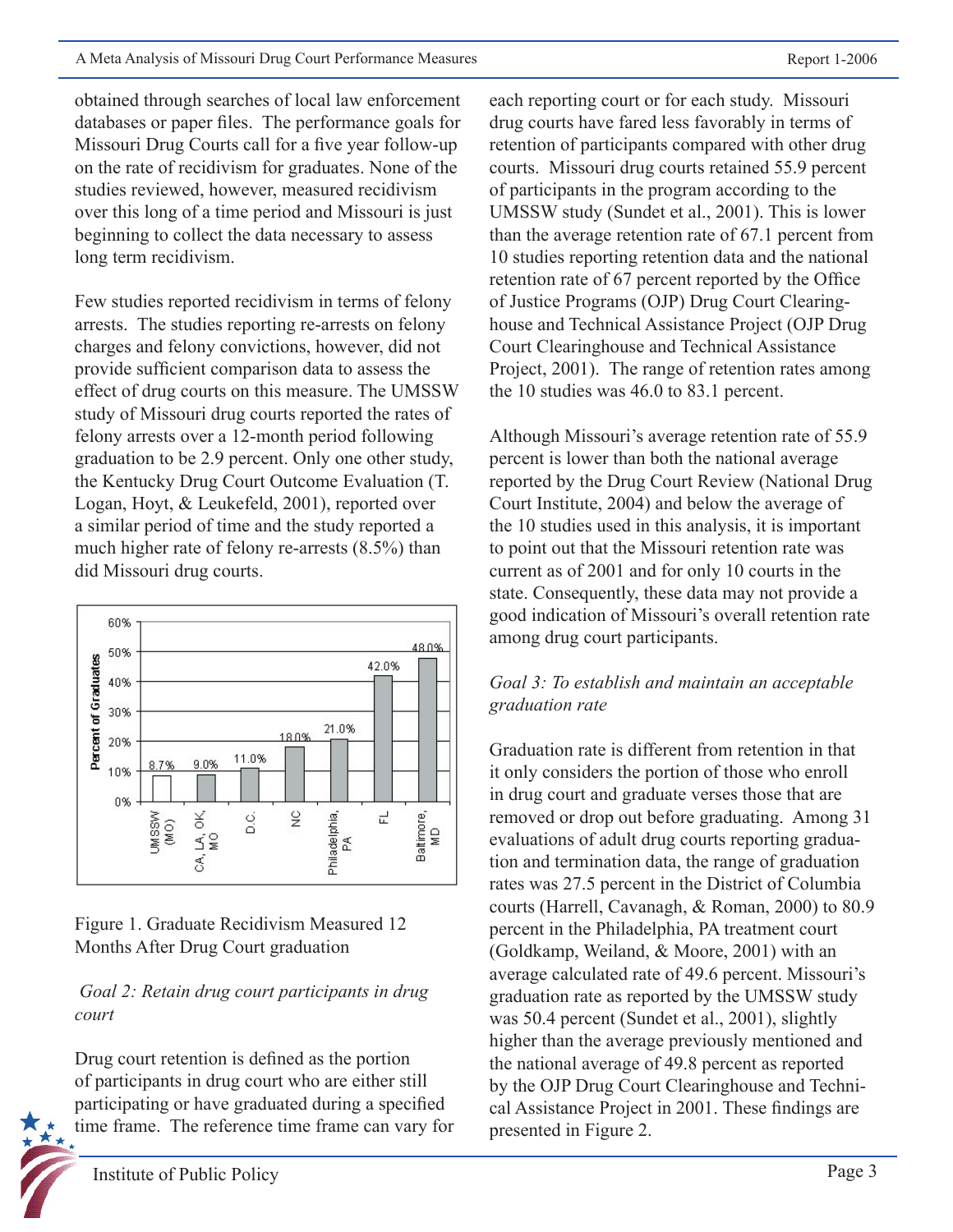obtained through searches of local law enforcement databases or paper files. The performance goals for Missouri Drug Courts call for a five year follow-up on the rate of recidivism for graduates. None of the studies reviewed, however, measured recidivism over this long of a time period and Missouri is just beginning to collect the data necessary to assess long term recidivism.

Few studies reported recidivism in terms of felony arrests. The studies reporting re-arrests on felony charges and felony convictions, however, did not provide sufficient comparison data to assess the effect of drug courts on this measure. The UMSSW study of Missouri drug courts reported the rates of felony arrests over a 12-month period following graduation to be 2.9 percent. Only one other study, the Kentucky Drug Court Outcome Evaluation (T. Logan, Hoyt, & Leukefeld, 2001), reported over a similar period of time and the study reported a much higher rate of felony re-arrests (8.5%) than did Missouri drug courts.



Figure 1. Graduate Recidivism Measured 12 Months After Drug Court graduation

## *Goal 2: Retain drug court participants in drug court*

Drug court retention is defined as the portion of participants in drug court who are either still participating or have graduated during a specified time frame. The reference time frame can vary for each reporting court or for each study. Missouri drug courts have fared less favorably in terms of retention of participants compared with other drug courts. Missouri drug courts retained 55.9 percent of participants in the program according to the UMSSW study (Sundet et al., 2001). This is lower than the average retention rate of 67.1 percent from 10 studies reporting retention data and the national retention rate of 67 percent reported by the Office of Justice Programs (OJP) Drug Court Clearinghouse and Technical Assistance Project (OJP Drug Court Clearinghouse and Technical Assistance Project, 2001). The range of retention rates among the 10 studies was 46.0 to 83.1 percent.

Although Missouri's average retention rate of 55.9 percent is lower than both the national average reported by the Drug Court Review (National Drug Court Institute, 2004) and below the average of the 10 studies used in this analysis, it is important to point out that the Missouri retention rate was current as of 2001 and for only 10 courts in the state. Consequently, these data may not provide a good indication of Missouri's overall retention rate among drug court participants.

## *Goal 3: To establish and maintain an acceptable graduation rate*

Graduation rate is different from retention in that it only considers the portion of those who enroll in drug court and graduate verses those that are removed or drop out before graduating. Among 31 evaluations of adult drug courts reporting graduation and termination data, the range of graduation rates was 27.5 percent in the District of Columbia courts (Harrell, Cavanagh, & Roman, 2000) to 80.9 percent in the Philadelphia, PA treatment court (Goldkamp, Weiland, & Moore, 2001) with an average calculated rate of 49.6 percent. Missouri's graduation rate as reported by the UMSSW study was 50.4 percent (Sundet et al., 2001), slightly higher than the average previously mentioned and the national average of 49.8 percent as reported by the OJP Drug Court Clearinghouse and Technical Assistance Project in 2001. These findings are presented in Figure 2.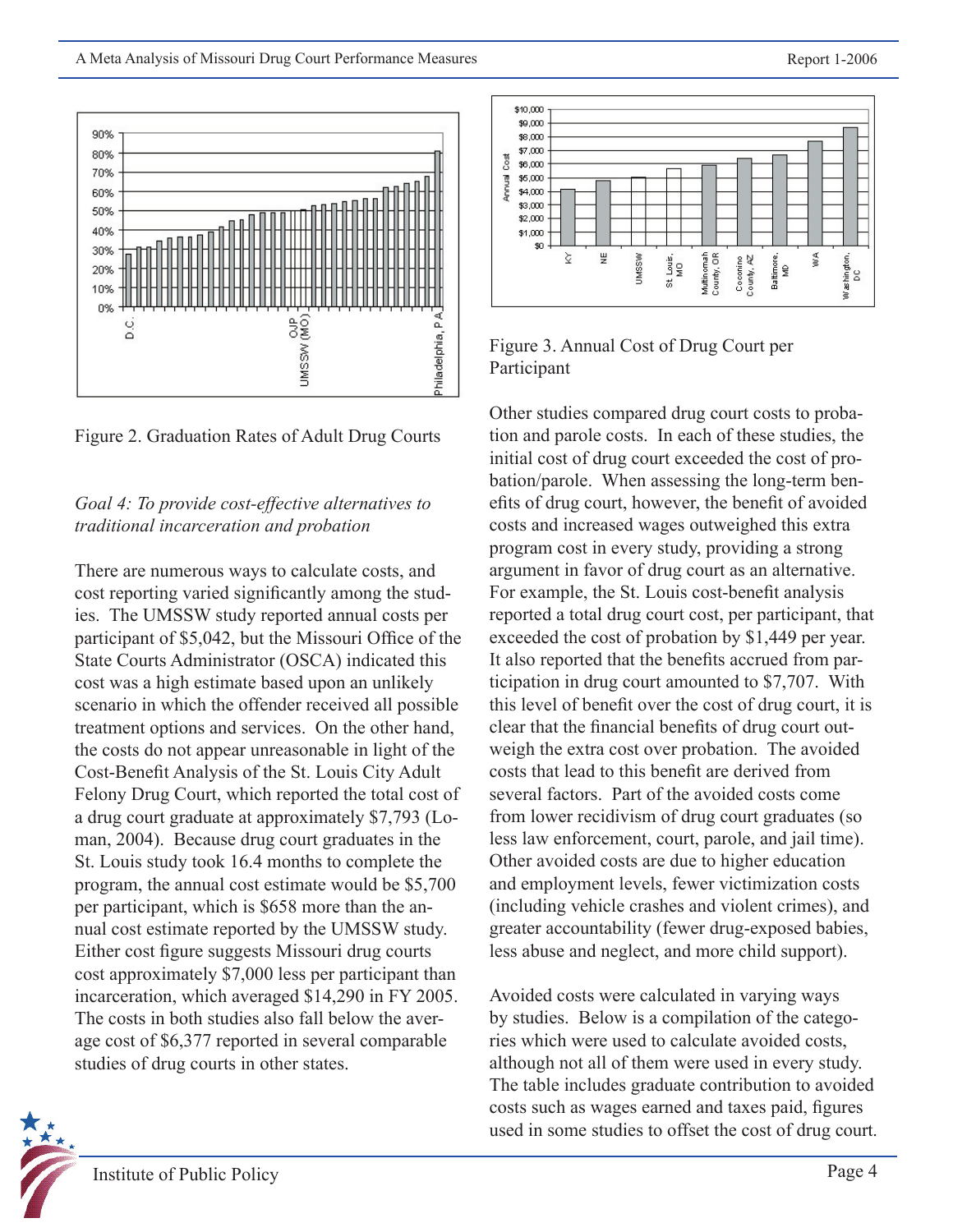

Figure 2. Graduation Rates of Adult Drug Courts

## *Goal 4: To provide cost-effective alternatives to traditional incarceration and probation*

There are numerous ways to calculate costs, and cost reporting varied significantly among the studies. The UMSSW study reported annual costs per participant of \$5,042, but the Missouri Office of the State Courts Administrator (OSCA) indicated this cost was a high estimate based upon an unlikely scenario in which the offender received all possible treatment options and services. On the other hand, the costs do not appear unreasonable in light of the Cost-Benefit Analysis of the St. Louis City Adult Felony Drug Court, which reported the total cost of a drug court graduate at approximately \$7,793 (Loman, 2004). Because drug court graduates in the St. Louis study took 16.4 months to complete the program, the annual cost estimate would be \$5,700 per participant, which is \$658 more than the annual cost estimate reported by the UMSSW study. Either cost figure suggests Missouri drug courts cost approximately \$7,000 less per participant than incarceration, which averaged \$14,290 in FY 2005. The costs in both studies also fall below the average cost of \$6,377 reported in several comparable studies of drug courts in other states.





Other studies compared drug court costs to probation and parole costs. In each of these studies, the initial cost of drug court exceeded the cost of probation/parole. When assessing the long-term benefits of drug court, however, the benefit of avoided costs and increased wages outweighed this extra program cost in every study, providing a strong argument in favor of drug court as an alternative. For example, the St. Louis cost-benefit analysis reported a total drug court cost, per participant, that exceeded the cost of probation by \$1,449 per year. It also reported that the benefits accrued from participation in drug court amounted to \$7,707. With this level of benefit over the cost of drug court, it is clear that the financial benefits of drug court outweigh the extra cost over probation. The avoided costs that lead to this benefit are derived from several factors. Part of the avoided costs come from lower recidivism of drug court graduates (so less law enforcement, court, parole, and jail time). Other avoided costs are due to higher education and employment levels, fewer victimization costs (including vehicle crashes and violent crimes), and greater accountability (fewer drug-exposed babies, less abuse and neglect, and more child support).

Avoided costs were calculated in varying ways by studies. Below is a compilation of the categories which were used to calculate avoided costs, although not all of them were used in every study. The table includes graduate contribution to avoided costs such as wages earned and taxes paid, figures used in some studies to offset the cost of drug court.

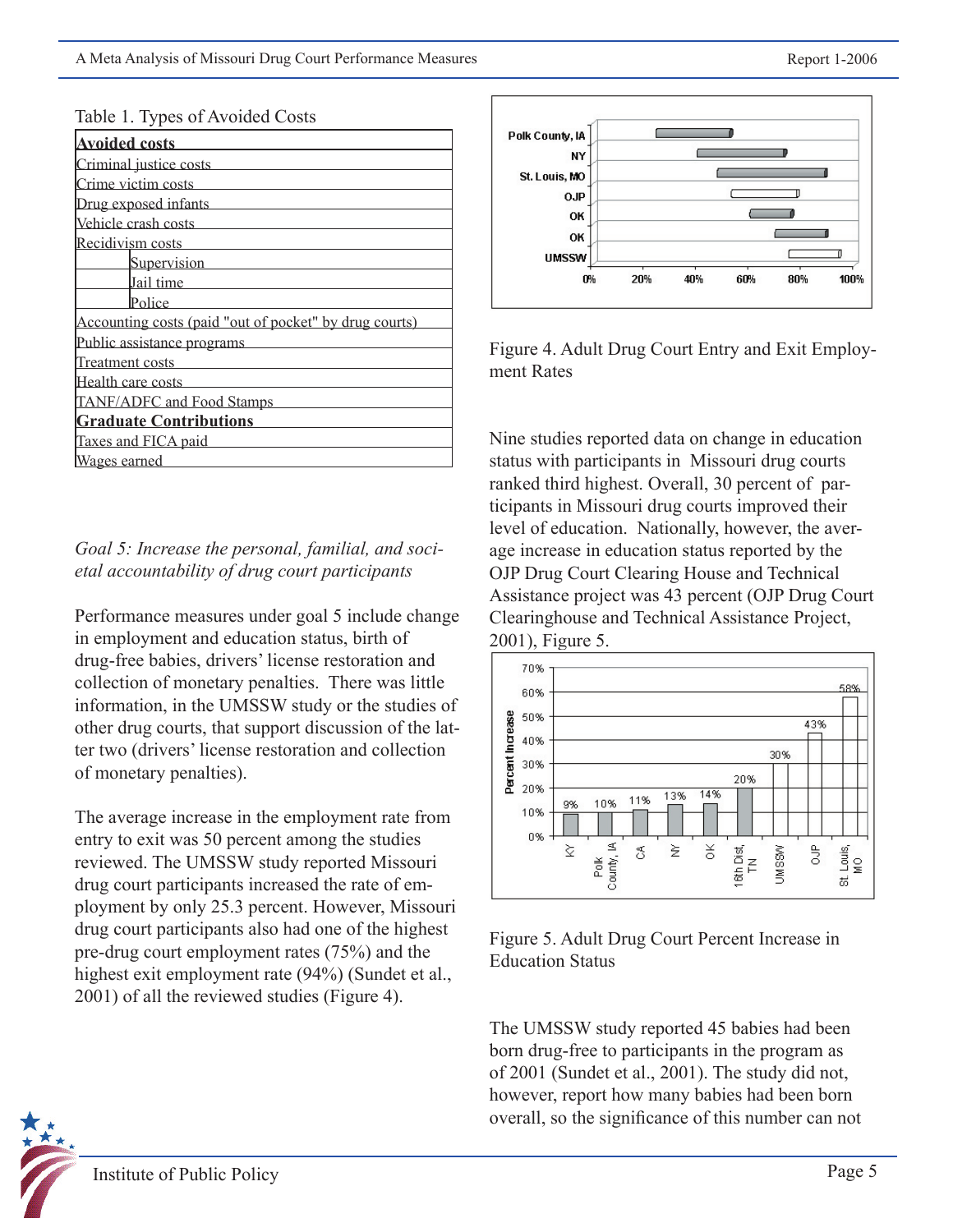| <b>Avoided costs</b>                                   |
|--------------------------------------------------------|
| Criminal justice costs                                 |
| Crime victim costs                                     |
| Drug exposed infants                                   |
| Vehicle crash costs                                    |
| Recidivism costs                                       |
| Supervision                                            |
| Jail time                                              |
| Police                                                 |
| Accounting costs (paid "out of pocket" by drug courts) |
| Public assistance programs                             |
| Treatment costs                                        |
| Health care costs                                      |
| TANF/ADFC and Food Stamps                              |
| <b>Graduate Contributions</b>                          |
| Taxes and FICA paid                                    |
| Wages earned                                           |

#### Table 1. Types of Avoided Costs

## *Goal 5: Increase the personal, familial, and societal accountability of drug court participants*

Performance measures under goal 5 include change in employment and education status, birth of drug-free babies, drivers' license restoration and collection of monetary penalties. There was little information, in the UMSSW study or the studies of other drug courts, that support discussion of the latter two (drivers' license restoration and collection of monetary penalties).

The average increase in the employment rate from entry to exit was 50 percent among the studies reviewed. The UMSSW study reported Missouri drug court participants increased the rate of employment by only 25.3 percent. However, Missouri drug court participants also had one of the highest pre-drug court employment rates (75%) and the highest exit employment rate (94%) (Sundet et al., 2001) of all the reviewed studies (Figure 4).



Figure 4. Adult Drug Court Entry and Exit Employment Rates

Nine studies reported data on change in education status with participants in Missouri drug courts ranked third highest. Overall, 30 percent of participants in Missouri drug courts improved their level of education. Nationally, however, the average increase in education status reported by the OJP Drug Court Clearing House and Technical Assistance project was 43 percent (OJP Drug Court Clearinghouse and Technical Assistance Project, 2001), Figure 5.





The UMSSW study reported 45 babies had been born drug-free to participants in the program as of 2001 (Sundet et al., 2001). The study did not, however, report how many babies had been born overall, so the significance of this number can not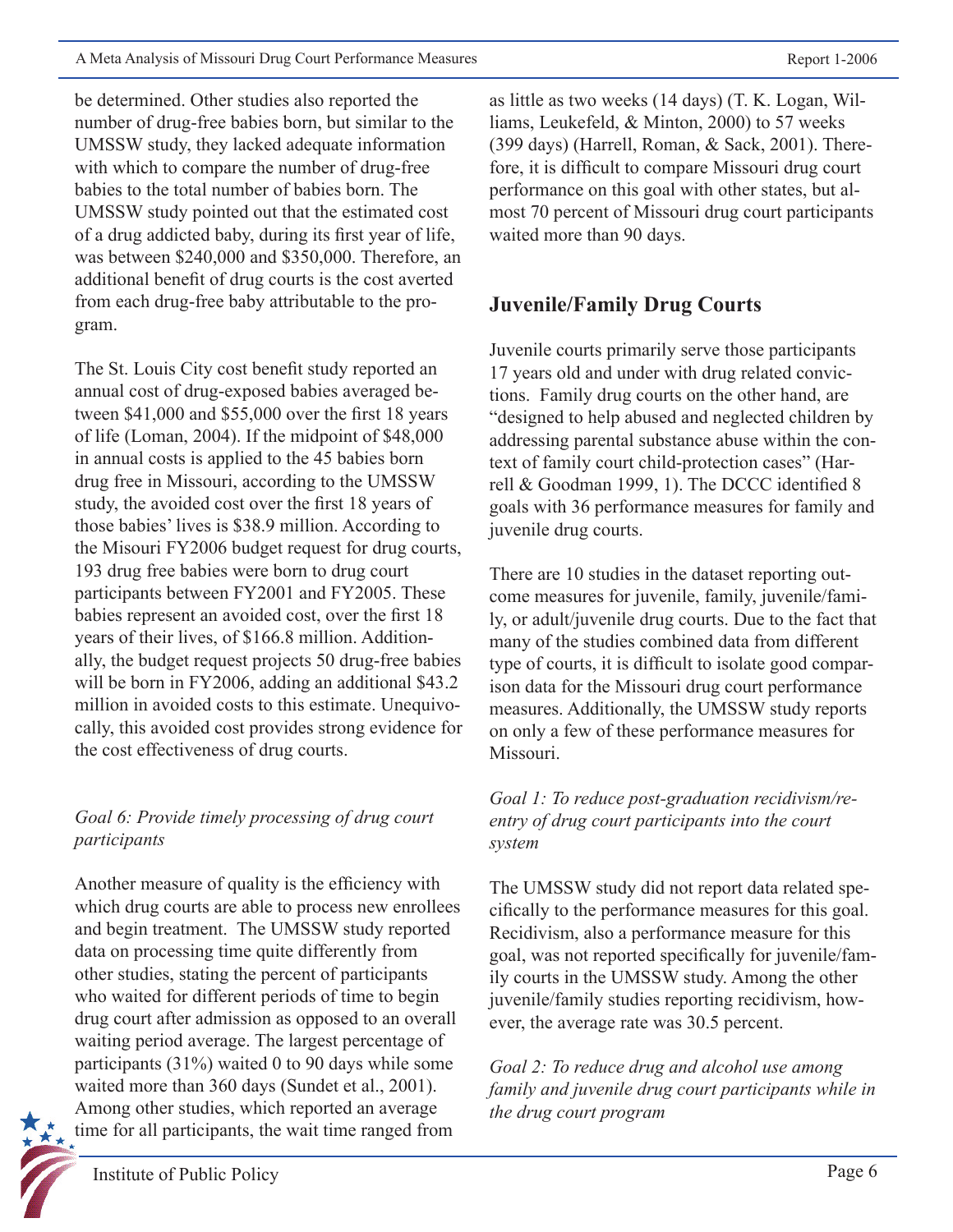A Meta Analysis of Missouri Drug Court Performance Measures Report 1-2006

be determined. Other studies also reported the number of drug-free babies born, but similar to the UMSSW study, they lacked adequate information with which to compare the number of drug-free babies to the total number of babies born. The UMSSW study pointed out that the estimated cost of a drug addicted baby, during its first year of life, was between \$240,000 and \$350,000. Therefore, an additional benefit of drug courts is the cost averted from each drug-free baby attributable to the program.

The St. Louis City cost benefit study reported an annual cost of drug-exposed babies averaged between \$41,000 and \$55,000 over the first 18 years of life (Loman, 2004). If the midpoint of \$48,000 in annual costs is applied to the 45 babies born drug free in Missouri, according to the UMSSW study, the avoided cost over the first 18 years of those babies' lives is \$38.9 million. According to the Misouri FY2006 budget request for drug courts, 193 drug free babies were born to drug court participants between FY2001 and FY2005. These babies represent an avoided cost, over the first 18 years of their lives, of \$166.8 million. Additionally, the budget request projects 50 drug-free babies will be born in FY2006, adding an additional \$43.2 million in avoided costs to this estimate. Unequivocally, this avoided cost provides strong evidence for the cost effectiveness of drug courts.

## *Goal 6: Provide timely processing of drug court participants*

Another measure of quality is the efficiency with which drug courts are able to process new enrollees and begin treatment. The UMSSW study reported data on processing time quite differently from other studies, stating the percent of participants who waited for different periods of time to begin drug court after admission as opposed to an overall waiting period average. The largest percentage of participants (31%) waited 0 to 90 days while some waited more than 360 days (Sundet et al., 2001). Among other studies, which reported an average time for all participants, the wait time ranged from

as little as two weeks (14 days) (T. K. Logan, Williams, Leukefeld, & Minton, 2000) to 57 weeks (399 days) (Harrell, Roman, & Sack, 2001). Therefore, it is difficult to compare Missouri drug court performance on this goal with other states, but almost 70 percent of Missouri drug court participants waited more than 90 days.

# **Juvenile/Family Drug Courts**

Juvenile courts primarily serve those participants 17 years old and under with drug related convictions. Family drug courts on the other hand, are "designed to help abused and neglected children by addressing parental substance abuse within the context of family court child-protection cases" (Harrell & Goodman 1999, 1). The DCCC identified 8 goals with 36 performance measures for family and juvenile drug courts.

There are 10 studies in the dataset reporting outcome measures for juvenile, family, juvenile/family, or adult/juvenile drug courts. Due to the fact that many of the studies combined data from different type of courts, it is difficult to isolate good comparison data for the Missouri drug court performance measures. Additionally, the UMSSW study reports on only a few of these performance measures for Missouri.

*Goal 1: To reduce post-graduation recidivism/reentry of drug court participants into the court system*

The UMSSW study did not report data related specifically to the performance measures for this goal. Recidivism, also a performance measure for this goal, was not reported specifically for juvenile/family courts in the UMSSW study. Among the other juvenile/family studies reporting recidivism, however, the average rate was 30.5 percent.

*Goal 2: To reduce drug and alcohol use among family and juvenile drug court participants while in the drug court program*

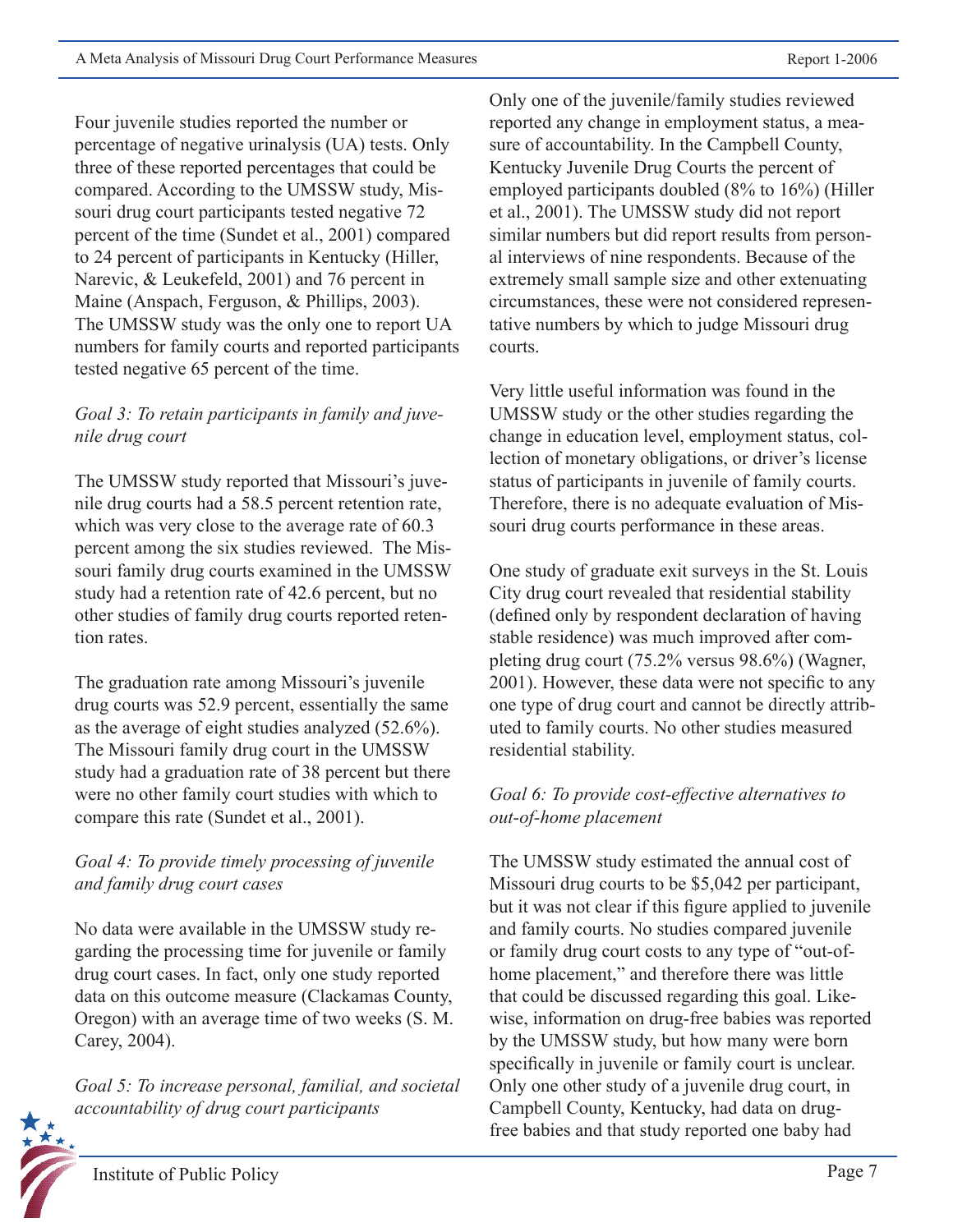Four juvenile studies reported the number or percentage of negative urinalysis (UA) tests. Only three of these reported percentages that could be compared. According to the UMSSW study, Missouri drug court participants tested negative 72 percent of the time (Sundet et al., 2001) compared to 24 percent of participants in Kentucky (Hiller, Narevic, & Leukefeld, 2001) and 76 percent in Maine (Anspach, Ferguson, & Phillips, 2003). The UMSSW study was the only one to report UA numbers for family courts and reported participants tested negative 65 percent of the time.

## *Goal 3: To retain participants in family and juvenile drug court*

The UMSSW study reported that Missouri's juvenile drug courts had a 58.5 percent retention rate, which was very close to the average rate of 60.3 percent among the six studies reviewed. The Missouri family drug courts examined in the UMSSW study had a retention rate of 42.6 percent, but no other studies of family drug courts reported retention rates.

The graduation rate among Missouri's juvenile drug courts was 52.9 percent, essentially the same as the average of eight studies analyzed (52.6%). The Missouri family drug court in the UMSSW study had a graduation rate of 38 percent but there were no other family court studies with which to compare this rate (Sundet et al., 2001).

## *Goal 4: To provide timely processing of juvenile and family drug court cases*

No data were available in the UMSSW study regarding the processing time for juvenile or family drug court cases. In fact, only one study reported data on this outcome measure (Clackamas County, Oregon) with an average time of two weeks (S. M. Carey, 2004).

*Goal 5: To increase personal, familial, and societal accountability of drug court participants*

Only one of the juvenile/family studies reviewed reported any change in employment status, a measure of accountability. In the Campbell County, Kentucky Juvenile Drug Courts the percent of employed participants doubled (8% to 16%) (Hiller et al., 2001). The UMSSW study did not report similar numbers but did report results from personal interviews of nine respondents. Because of the extremely small sample size and other extenuating circumstances, these were not considered representative numbers by which to judge Missouri drug courts.

Very little useful information was found in the UMSSW study or the other studies regarding the change in education level, employment status, collection of monetary obligations, or driver's license status of participants in juvenile of family courts. Therefore, there is no adequate evaluation of Missouri drug courts performance in these areas.

One study of graduate exit surveys in the St. Louis City drug court revealed that residential stability (defined only by respondent declaration of having stable residence) was much improved after completing drug court (75.2% versus 98.6%) (Wagner, 2001). However, these data were not specific to any one type of drug court and cannot be directly attributed to family courts. No other studies measured residential stability.

## *Goal 6: To provide cost-effective alternatives to out-of-home placement*

The UMSSW study estimated the annual cost of Missouri drug courts to be \$5,042 per participant, but it was not clear if this figure applied to juvenile and family courts. No studies compared juvenile or family drug court costs to any type of "out-ofhome placement," and therefore there was little that could be discussed regarding this goal. Likewise, information on drug-free babies was reported by the UMSSW study, but how many were born specifically in juvenile or family court is unclear. Only one other study of a juvenile drug court, in Campbell County, Kentucky, had data on drugfree babies and that study reported one baby had

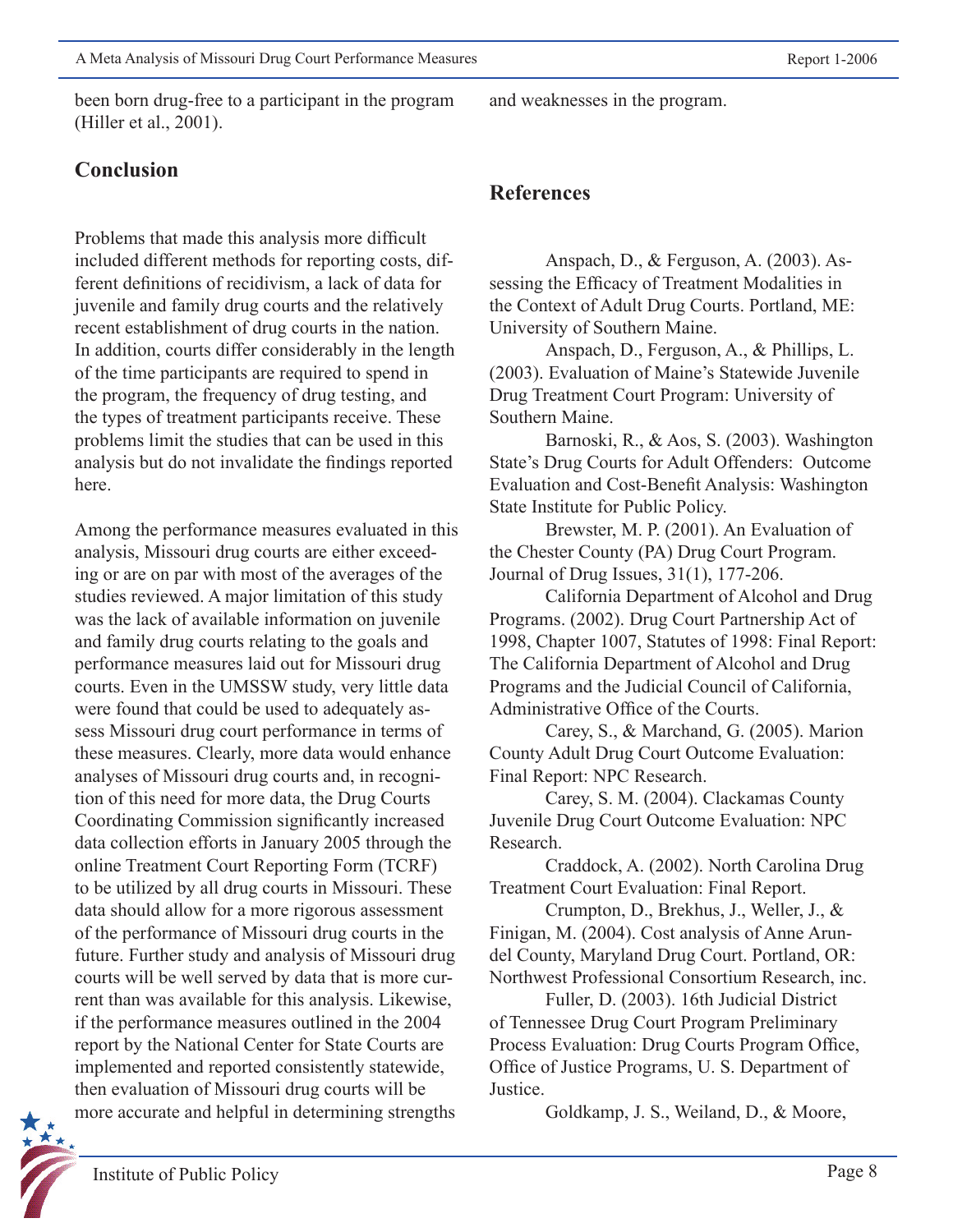been born drug-free to a participant in the program (Hiller et al., 2001).

# **Conclusion**

Problems that made this analysis more difficult included different methods for reporting costs, different definitions of recidivism, a lack of data for juvenile and family drug courts and the relatively recent establishment of drug courts in the nation. In addition, courts differ considerably in the length of the time participants are required to spend in the program, the frequency of drug testing, and the types of treatment participants receive. These problems limit the studies that can be used in this analysis but do not invalidate the findings reported here.

Among the performance measures evaluated in this analysis, Missouri drug courts are either exceeding or are on par with most of the averages of the studies reviewed. A major limitation of this study was the lack of available information on juvenile and family drug courts relating to the goals and performance measures laid out for Missouri drug courts. Even in the UMSSW study, very little data were found that could be used to adequately assess Missouri drug court performance in terms of these measures. Clearly, more data would enhance analyses of Missouri drug courts and, in recognition of this need for more data, the Drug Courts Coordinating Commission significantly increased data collection efforts in January 2005 through the online Treatment Court Reporting Form (TCRF) to be utilized by all drug courts in Missouri. These data should allow for a more rigorous assessment of the performance of Missouri drug courts in the future. Further study and analysis of Missouri drug courts will be well served by data that is more current than was available for this analysis. Likewise, if the performance measures outlined in the 2004 report by the National Center for State Courts are implemented and reported consistently statewide, then evaluation of Missouri drug courts will be more accurate and helpful in determining strengths

and weaknesses in the program.

# **References**

 Anspach, D., & Ferguson, A. (2003). Assessing the Efficacy of Treatment Modalities in the Context of Adult Drug Courts. Portland, ME: University of Southern Maine.

 Anspach, D., Ferguson, A., & Phillips, L. (2003). Evaluation of Maine's Statewide Juvenile Drug Treatment Court Program: University of Southern Maine.

 Barnoski, R., & Aos, S. (2003). Washington State's Drug Courts for Adult Offenders: Outcome Evaluation and Cost-Benefit Analysis: Washington State Institute for Public Policy.

 Brewster, M. P. (2001). An Evaluation of the Chester County (PA) Drug Court Program. Journal of Drug Issues, 31(1), 177-206.

 California Department of Alcohol and Drug Programs. (2002). Drug Court Partnership Act of 1998, Chapter 1007, Statutes of 1998: Final Report: The California Department of Alcohol and Drug Programs and the Judicial Council of California, Administrative Office of the Courts.

 Carey, S., & Marchand, G. (2005). Marion County Adult Drug Court Outcome Evaluation: Final Report: NPC Research.

 Carey, S. M. (2004). Clackamas County Juvenile Drug Court Outcome Evaluation: NPC Research.

 Craddock, A. (2002). North Carolina Drug Treatment Court Evaluation: Final Report.

 Crumpton, D., Brekhus, J., Weller, J., & Finigan, M. (2004). Cost analysis of Anne Arundel County, Maryland Drug Court. Portland, OR: Northwest Professional Consortium Research, inc.

 Fuller, D. (2003). 16th Judicial District of Tennessee Drug Court Program Preliminary Process Evaluation: Drug Courts Program Office, Office of Justice Programs, U. S. Department of Justice.

Goldkamp, J. S., Weiland, D., & Moore,

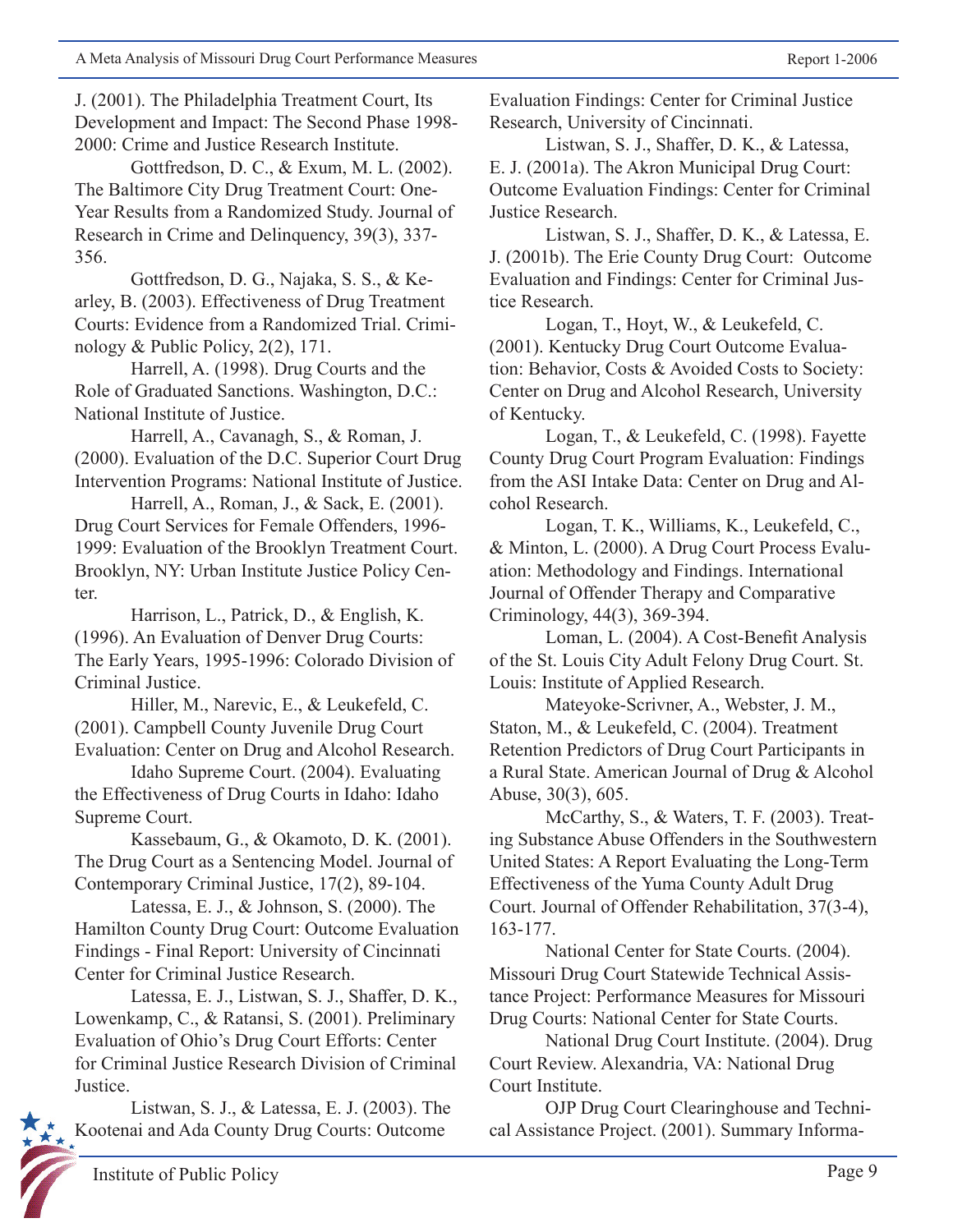J. (2001). The Philadelphia Treatment Court, Its Development and Impact: The Second Phase 1998- 2000: Crime and Justice Research Institute.

 Gottfredson, D. C., & Exum, M. L. (2002). The Baltimore City Drug Treatment Court: One-Year Results from a Randomized Study. Journal of Research in Crime and Delinquency, 39(3), 337- 356.

 Gottfredson, D. G., Najaka, S. S., & Kearley, B. (2003). Effectiveness of Drug Treatment Courts: Evidence from a Randomized Trial. Criminology & Public Policy, 2(2), 171.

 Harrell, A. (1998). Drug Courts and the Role of Graduated Sanctions. Washington, D.C.: National Institute of Justice.

 Harrell, A., Cavanagh, S., & Roman, J. (2000). Evaluation of the D.C. Superior Court Drug Intervention Programs: National Institute of Justice.

 Harrell, A., Roman, J., & Sack, E. (2001). Drug Court Services for Female Offenders, 1996- 1999: Evaluation of the Brooklyn Treatment Court. Brooklyn, NY: Urban Institute Justice Policy Center.

 Harrison, L., Patrick, D., & English, K. (1996). An Evaluation of Denver Drug Courts: The Early Years, 1995-1996: Colorado Division of Criminal Justice.

 Hiller, M., Narevic, E., & Leukefeld, C. (2001). Campbell County Juvenile Drug Court Evaluation: Center on Drug and Alcohol Research.

 Idaho Supreme Court. (2004). Evaluating the Effectiveness of Drug Courts in Idaho: Idaho Supreme Court.

 Kassebaum, G., & Okamoto, D. K. (2001). The Drug Court as a Sentencing Model. Journal of Contemporary Criminal Justice, 17(2), 89-104.

 Latessa, E. J., & Johnson, S. (2000). The Hamilton County Drug Court: Outcome Evaluation Findings - Final Report: University of Cincinnati Center for Criminal Justice Research.

 Latessa, E. J., Listwan, S. J., Shaffer, D. K., Lowenkamp, C., & Ratansi, S. (2001). Preliminary Evaluation of Ohio's Drug Court Efforts: Center for Criminal Justice Research Division of Criminal Justice.

 Listwan, S. J., & Latessa, E. J. (2003). The Kootenai and Ada County Drug Courts: Outcome

Evaluation Findings: Center for Criminal Justice Research, University of Cincinnati.

 Listwan, S. J., Shaffer, D. K., & Latessa, E. J. (2001a). The Akron Municipal Drug Court: Outcome Evaluation Findings: Center for Criminal Justice Research.

 Listwan, S. J., Shaffer, D. K., & Latessa, E. J. (2001b). The Erie County Drug Court: Outcome Evaluation and Findings: Center for Criminal Justice Research.

 Logan, T., Hoyt, W., & Leukefeld, C. (2001). Kentucky Drug Court Outcome Evaluation: Behavior, Costs & Avoided Costs to Society: Center on Drug and Alcohol Research, University of Kentucky.

 Logan, T., & Leukefeld, C. (1998). Fayette County Drug Court Program Evaluation: Findings from the ASI Intake Data: Center on Drug and Alcohol Research.

 Logan, T. K., Williams, K., Leukefeld, C., & Minton, L. (2000). A Drug Court Process Evaluation: Methodology and Findings. International Journal of Offender Therapy and Comparative Criminology, 44(3), 369-394.

 Loman, L. (2004). A Cost-Benefit Analysis of the St. Louis City Adult Felony Drug Court. St. Louis: Institute of Applied Research.

 Mateyoke-Scrivner, A., Webster, J. M., Staton, M., & Leukefeld, C. (2004). Treatment Retention Predictors of Drug Court Participants in a Rural State. American Journal of Drug & Alcohol Abuse, 30(3), 605.

 McCarthy, S., & Waters, T. F. (2003). Treating Substance Abuse Offenders in the Southwestern United States: A Report Evaluating the Long-Term Effectiveness of the Yuma County Adult Drug Court. Journal of Offender Rehabilitation, 37(3-4), 163-177.

 National Center for State Courts. (2004). Missouri Drug Court Statewide Technical Assistance Project: Performance Measures for Missouri Drug Courts: National Center for State Courts.

 National Drug Court Institute. (2004). Drug Court Review. Alexandria, VA: National Drug Court Institute.

 OJP Drug Court Clearinghouse and Technical Assistance Project. (2001). Summary Informa